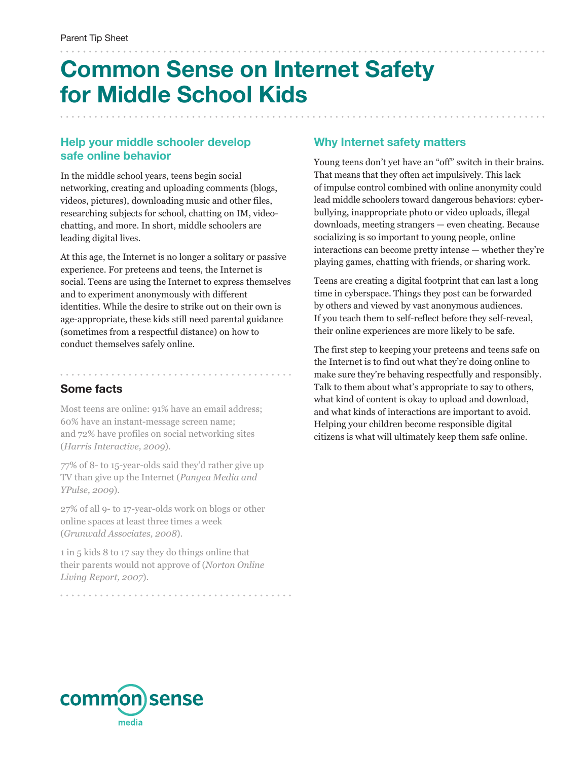# **Common Sense on Internet Safety for Middle School Kids**

#### **Help your middle schooler develop safe online behavior**

In the middle school years, teens begin social networking, creating and uploading comments (blogs, videos, pictures), downloading music and other files, researching subjects for school, chatting on IM, videochatting, and more. In short, middle schoolers are leading digital lives.

At this age, the Internet is no longer a solitary or passive experience. For preteens and teens, the Internet is social. Teens are using the Internet to express themselves and to experiment anonymously with different identities. While the desire to strike out on their own is age-appropriate, these kids still need parental guidance (sometimes from a respectful distance) on how to conduct themselves safely online.

## **Some facts**

. . . . . . . . . . . . . . . . . . .

Most teens are online: 91% have an email address; 60% have an instant-message screen name; and 72% have profiles on social networking sites (*Harris Interactive, 2009*).

77% of 8- to 15-year-olds said they'd rather give up TV than give up the Internet (*Pangea Media and YPulse, 2009*).

27% of all 9- to 17-year-olds work on blogs or other online spaces at least three times a week (*Grunwald Associates, 2008*).

1 in 5 kids 8 to 17 say they do things online that their parents would not approve of (*Norton Online Living Report, 2007*).

### **Why Internet safety matters**

Young teens don't yet have an "off" switch in their brains. That means that they often act impulsively. This lack of impulse control combined with online anonymity could lead middle schoolers toward dangerous behaviors: cyberbullying, inappropriate photo or video uploads, illegal downloads, meeting strangers — even cheating. Because socializing is so important to young people, online interactions can become pretty intense — whether they're playing games, chatting with friends, or sharing work.

Teens are creating a digital footprint that can last a long time in cyberspace. Things they post can be forwarded by others and viewed by vast anonymous audiences. If you teach them to self-reflect before they self-reveal, their online experiences are more likely to be safe.

The first step to keeping your preteens and teens safe on the Internet is to find out what they're doing online to make sure they're behaving respectfully and responsibly. Talk to them about what's appropriate to say to others, what kind of content is okay to upload and download, and what kinds of interactions are important to avoid. Helping your children become responsible digital citizens is what will ultimately keep them safe online.